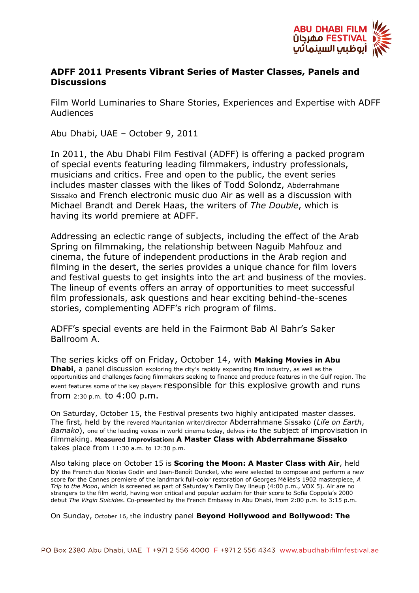

## **ADFF 2011 Presents Vibrant Series of Master Classes, Panels and Discussions**

Film World Luminaries to Share Stories, Experiences and Expertise with ADFF Audiences

Abu Dhabi, UAE – October 9, 2011

In 2011, the Abu Dhabi Film Festival (ADFF) is offering a packed program of special events featuring leading filmmakers, industry professionals, musicians and critics. Free and open to the public, the event series includes master classes with the likes of Todd Solondz, Abderrahmane Sissako and French electronic music duo Air as well as a discussion with Michael Brandt and Derek Haas, the writers of *The Double*, which is having its world premiere at ADFF.

Addressing an eclectic range of subjects, including the effect of the Arab Spring on filmmaking, the relationship between Naguib Mahfouz and cinema, the future of independent productions in the Arab region and filming in the desert, the series provides a unique chance for film lovers and festival guests to get insights into the art and business of the movies. The lineup of events offers an array of opportunities to meet successful film professionals, ask questions and hear exciting behind-the-scenes stories, complementing ADFF's rich program of films.

ADFF's special events are held in the Fairmont Bab Al Bahr's Saker Ballroom A.

The series kicks off on Friday, October 14, with **Making Movies in Abu Dhabi**, a panel discussion exploring the city's rapidly expanding film industry, as well as the opportunities and challenges facing filmmakers seeking to finance and produce features in the Gulf region. The event features some of the key players responsible for this explosive growth and runs from 2:30 p.m. to 4:00 p.m.

On Saturday, October 15, the Festival presents two highly anticipated master classes. The first, held by the revered Mauritanian writer/director Abderrahmane Sissako (*Life on Earth*, *Bamako*), one of the leading voices in world cinema today, delves into the subject of improvisation in filmmaking. **Measured Improvisation: A Master Class with Abderrahmane Sissako** takes place from 11:30 a.m. to 12:30 p.m.

Also taking place on October 15 is **Scoring the Moon: A Master Class with Air**, held by the French duo Nicolas Godin and Jean-Benoît Dunckel, who were selected to compose and perform a new score for the Cannes premiere of the landmark full-color restoration of Georges Méliès's 1902 masterpiece, *A Trip to the Moon*, which is screened as part of Saturday's Family Day lineup (4:00 p.m., VOX 5). Air are no strangers to the film world, having won critical and popular acclaim for their score to Sofia Coppola's 2000 debut *The Virgin Suicides*. Co-presented by the French Embassy in Abu Dhabi, from 2:00 p.m. to 3:15 p.m.

On Sunday, October 16, the industry panel **Beyond Hollywood and Bollywood: The**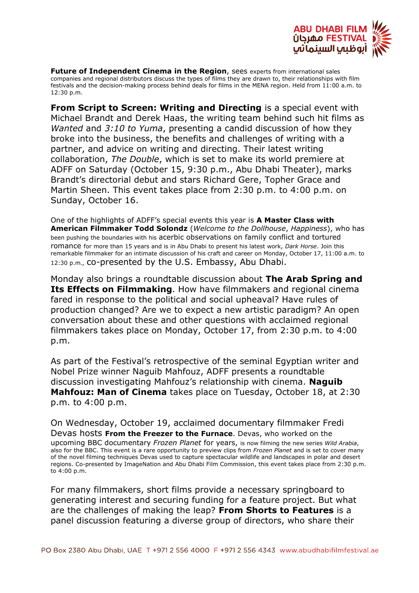

**Future of Independent Cinema in the Region**, sees experts from international sales companies and regional distributors discuss the types of films they are drawn to, their relationships with film festivals and the decision-making process behind deals for films in the MENA region. Held from 11:00 a.m. to 12:30 p.m.

**From Script to Screen: Writing and Directing** is a special event with Michael Brandt and Derek Haas, the writing team behind such hit films as *Wanted* and *3:10 to Yuma*, presenting a candid discussion of how they broke into the business, the benefits and challenges of writing with a partner, and advice on writing and directing. Their latest writing collaboration, *The Double*, which is set to make its world premiere at ADFF on Saturday (October 15, 9:30 p.m., Abu Dhabi Theater), marks Brandt's directorial debut and stars Richard Gere, Topher Grace and Martin Sheen. This event takes place from 2:30 p.m. to 4:00 p.m. on Sunday, October 16.

One of the highlights of ADFF's special events this year is **A Master Class with American Filmmaker Todd Solondz** (*Welcome to the Dollhouse*, *Happiness*), who has been pushing the boundaries with his acerbic observations on family conflict and tortured romance for more than 15 years and is in Abu Dhabi to present his latest work, *Dark Horse*. Join this remarkable filmmaker for an intimate discussion of his craft and career on Monday, October 17, 11:00 a.m. to 12:30 p.m.*,* co-presented by the U.S. Embassy, Abu Dhabi.

Monday also brings a roundtable discussion about **The Arab Spring and Its Effects on Filmmaking**. How have filmmakers and regional cinema fared in response to the political and social upheaval? Have rules of production changed? Are we to expect a new artistic paradigm? An open conversation about these and other questions with acclaimed regional filmmakers takes place on Monday, October 17, from 2:30 p.m. to 4:00 p.m.

As part of the Festival's retrospective of the seminal Egyptian writer and Nobel Prize winner Naguib Mahfouz, ADFF presents a roundtable discussion investigating Mahfouz's relationship with cinema. **Naguib Mahfouz: Man of Cinema** takes place on Tuesday, October 18, at 2:30 p.m. to 4:00 p.m.

On Wednesday, October 19, acclaimed documentary filmmaker Fredi Devas hosts **From the Freezer to the Furnace**. Devas, who worked on the upcoming BBC documentary *Frozen Planet* for years, is now filming the new series *Wild Arabia*, also for the BBC. This event is a rare opportunity to preview clips from *Frozen Planet* and is set to cover many of the novel filming techniques Devas used to capture spectacular wildlife and landscapes in polar and desert regions. Co-presented by ImageNation and Abu Dhabi Film Commission, this event takes place from 2:30 p.m. to 4:00 p.m.

For many filmmakers, short films provide a necessary springboard to generating interest and securing funding for a feature project. But what are the challenges of making the leap? **From Shorts to Features** is a panel discussion featuring a diverse group of directors, who share their